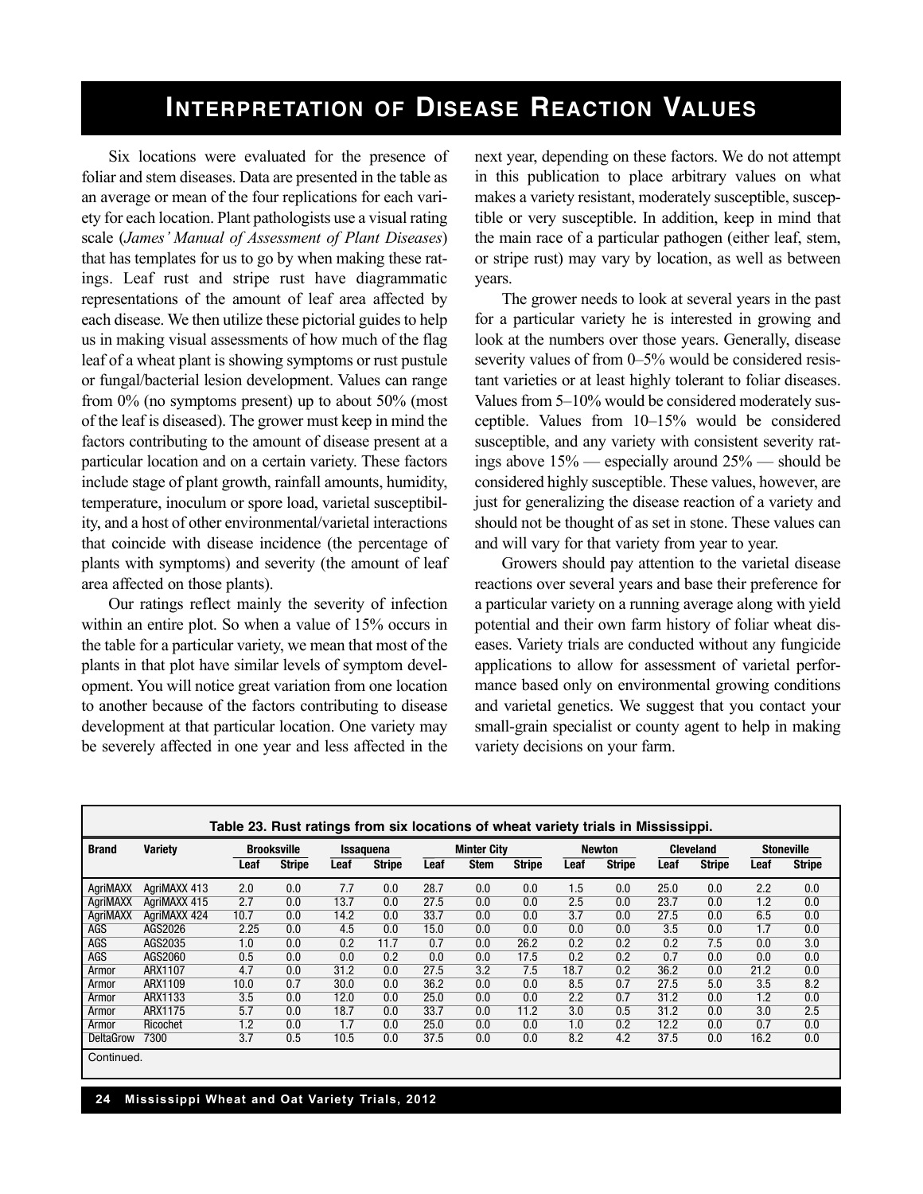## **InTERPRETATIOn OF DISEASE REAcTIOn VALuES**

Six locations were evaluated for the presence of foliar and stem diseases. Data are presented in the table as an average or mean of the four replications for each variety for each location. Plant pathologists use a visual rating scale (*James' Manual of Assessment of Plant Diseases*) that has templates for us to go by when making these ratings. Leaf rust and stripe rust have diagrammatic representations of the amount of leaf area affected by each disease. We then utilize these pictorial guides to help us in making visual assessments of how much of the flag leaf of a wheat plant is showing symptoms or rust pustule or fungal/bacterial lesion development. Values can range from 0% (no symptoms present) up to about 50% (most of the leaf is diseased). The grower must keep in mind the factors contributing to the amount of disease present at a particular location and on a certain variety. These factors include stage of plant growth, rainfall amounts, humidity, temperature, inoculum or spore load, varietal susceptibility, and a host of other environmental/varietal interactions that coincide with disease incidence (the percentage of plants with symptoms) and severity (the amount of leaf area affected on those plants).

Our ratings reflect mainly the severity of infection within an entire plot. So when a value of 15% occurs in the table for a particular variety, we mean that most of the plants in that plot have similar levels of symptom development. You will notice great variation from one location to another because of the factors contributing to disease development at that particular location. One variety may be severely affected in one year and less affected in the next year, depending on these factors. We do not attempt in this publication to place arbitrary values on what makes a variety resistant, moderately susceptible, susceptible or very susceptible. In addition, keep in mind that the main race of a particular pathogen (either leaf, stem, or stripe rust) may vary by location, as well as between years.

The grower needs to look at several years in the past for a particular variety he is interested in growing and look at the numbers over those years. Generally, disease severity values of from 0–5% would be considered resistant varieties or at least highly tolerant to foliar diseases. Values from 5–10% would be considered moderately susceptible. Values from 10–15% would be considered susceptible, and any variety with consistent severity ratings above 15% — especially around 25% — should be considered highly susceptible. These values, however, are just for generalizing the disease reaction of a variety and should not be thought of as set in stone. These values can and will vary for that variety from year to year.

Growers should pay attention to the varietal disease reactions over several years and base their preference for a particular variety on a running average along with yield potential and their own farm history of foliar wheat diseases. Variety trials are conducted without any fungicide applications to allow for assessment of varietal performance based only on environmental growing conditions and varietal genetics. We suggest that you contact your small-grain specialist or county agent to help in making variety decisions on your farm.

| Table 23. Rust ratings from six locations of wheat variety trials in Mississippi. |                                      |      |               |      |                    |      |             |               |                  |                  |      |                   |      |               |
|-----------------------------------------------------------------------------------|--------------------------------------|------|---------------|------|--------------------|------|-------------|---------------|------------------|------------------|------|-------------------|------|---------------|
| <b>Brand</b>                                                                      | <b>Variety</b><br><b>Brooksville</b> |      | Issaquena     |      | <b>Minter City</b> |      |             | <b>Newton</b> |                  | <b>Cleveland</b> |      | <b>Stoneville</b> |      |               |
|                                                                                   |                                      | Leaf | <b>Stripe</b> | Leaf | <b>Stripe</b>      | Leaf | <b>Stem</b> | <b>Stripe</b> | Leaf             | <b>Stripe</b>    | Leaf | <b>Stripe</b>     | Leaf | <b>Stripe</b> |
| AgriMAXX                                                                          | AgriMAXX 413                         | 2.0  | 0.0           | 7.7  | 0.0                | 28.7 | 0.0         | 0.0           | 1.5              | 0.0              | 25.0 | 0.0               | 2.2  | 0.0           |
| AgriMAXX                                                                          | AgriMAXX 415                         | 2.7  | 0.0           | 13.7 | 0.0                | 27.5 | 0.0         | 0.0           | 2.5              | 0.0              | 23.7 | 0.0               | 1.2  | 0.0           |
| AgriMAXX                                                                          | AgriMAXX 424                         | 10.7 | 0.0           | 14.2 | 0.0                | 33.7 | 0.0         | 0.0           | $\overline{3.7}$ | 0.0              | 27.5 | 0.0               | 6.5  | 0.0           |
| AGS                                                                               | AGS2026                              | 2.25 | 0.0           | 4.5  | 0.0                | 15.0 | 0.0         | 0.0           | 0.0              | 0.0              | 3.5  | 0.0               | 1.7  | 0.0           |
| AGS                                                                               | AGS2035                              | 1.0  | 0.0           | 0.2  | 11.7               | 0.7  | 0.0         | 26.2          | 0.2              | 0.2              | 0.2  | 7.5               | 0.0  | 3.0           |
| AGS                                                                               | AGS2060                              | 0.5  | 0.0           | 0.0  | 0.2                | 0.0  | 0.0         | 17.5          | 0.2              | 0.2              | 0.7  | 0.0               | 0.0  | 0.0           |
| Armor                                                                             | ARX1107                              | 4.7  | 0.0           | 31.2 | 0.0                | 27.5 | 3.2         | 7.5           | 18.7             | 0.2              | 36.2 | 0.0               | 21.2 | 0.0           |
| Armor                                                                             | ARX1109                              | 10.0 | 0.7           | 30.0 | 0.0                | 36.2 | 0.0         | 0.0           | 8.5              | 0.7              | 27.5 | 5.0               | 3.5  | 8.2           |
| Armor                                                                             | ARX1133                              | 3.5  | 0.0           | 12.0 | 0.0                | 25.0 | 0.0         | 0.0           | 2.2              | 0.7              | 31.2 | 0.0               | 1.2  | 0.0           |
| Armor                                                                             | ARX1175                              | 5.7  | 0.0           | 18.7 | 0.0                | 33.7 | 0.0         | 11.2          | 3.0              | 0.5              | 31.2 | 0.0               | 3.0  | 2.5           |
| Armor                                                                             | Ricochet                             | 1.2  | 0.0           | 1.7  | 0.0                | 25.0 | 0.0         | 0.0           | 1.0              | 0.2              | 12.2 | 0.0               | 0.7  | 0.0           |
| <b>DeltaGrow</b>                                                                  | 7300                                 | 3.7  | 0.5           | 10.5 | 0.0                | 37.5 | 0.0         | 0.0           | 8.2              | 4.2              | 37.5 | 0.0               | 16.2 | 0.0           |
| Continued.                                                                        |                                      |      |               |      |                    |      |             |               |                  |                  |      |                   |      |               |